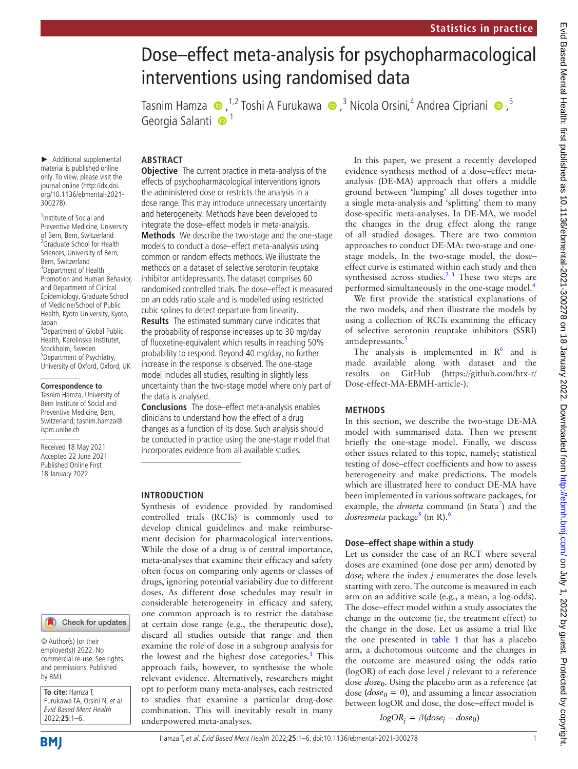# Dose–effect meta-analysis for psychopharmacological interventions using randomised data

TasnimHamza  $\bigcirc$ , <sup>1,2</sup> Toshi A Furukawa  $\bigcirc$ , <sup>3</sup> Nicola Orsini,<sup>4</sup> Andrea Cipriani  $\bigcirc$ , <sup>5</sup> Georgia Salanti <sup>1</sup>

► Additional supplemental material is published online only. To view, please visit the journal online ([http://dx.doi.](http://dx.doi.org/10.1136/ebmental-2021-300278) [org/10.1136/ebmental-2021-](http://dx.doi.org/10.1136/ebmental-2021-300278) [300278](http://dx.doi.org/10.1136/ebmental-2021-300278)).

1 Institute of Social and Preventive Medicine, University of Bern, Bern, Switzerland <sup>2</sup> Graduate School for Health Sciences, University of Bern, Bern, Switzerland <sup>3</sup>Department of Health Promotion and Human Behavior, and Department of Clinical Epidemiology, Graduate School of Medicine/School of Public Health, Kyoto University, Kyoto, Japan 4 Department of Global Public

Health, Karolinska Institutet, Stockholm, Sweden 5 Department of Psychiatry, University of Oxford, Oxford, UK

#### **Correspondence to**

Tasnim Hamza, University of Bern Institute of Social and Preventive Medicine, Bern, Switzerland; tasnim.hamza@ ispm.unibe.ch

Received 18 May 2021 Accepted 22 June 2021 Published Online First 18 January 2022

#### Check for updates

© Author(s) (or their employer(s)) 2022. No commercial re-use. See rights and permissions. Published by BMJ.

**To cite:** Hamza T, Furukawa TA, Orsini N, et al. Evid Based Ment Health 2022;**25**:1–6.

**BMI** 

# **ABSTRACT**

**Objective** The current practice in meta-analysis of the effects of psychopharmacological interventions ignors the administered dose or restricts the analysis in a dose range. This may introduce unnecessary uncertainty and heterogeneity. Methods have been developed to integrate the dose–effect models in meta-analysis. **Methods** We describe the two-stage and the one-stage models to conduct a dose–effect meta-analysis using common or random effects methods. We illustrate the methods on a dataset of selective serotonin reuptake inhibitor antidepressants. The dataset comprises 60 randomised controlled trials. The dose–effect is measured on an odds ratio scale and is modelled using restricted cubic splines to detect departure from linearity.

**Results** The estimated summary curve indicates that the probability of response increases up to 30 mg/day of fluoxetine-equivalent which results in reaching 50% probability to respond. Beyond 40 mg/day, no further increase in the response is observed. The one-stage model includes all studies, resulting in slightly less uncertainty than the two-stage model where only part of the data is analysed.

**Conclusions** The dose–effect meta-analysis enables clinicians to understand how the effect of a drug changes as a function of its dose. Such analysis should be conducted in practice using the one-stage model that incorporates evidence from all available studies.

### **INTRODUCTION**

Synthesis of evidence provided by randomised controlled trials (RCTs) is commonly used to develop clinical guidelines and make reimbursement decision for pharmacological interventions. While the dose of a drug is of central importance, meta-analyses that examine their efficacy and safety often focus on comparing only agents or classes of drugs, ignoring potential variability due to different doses. As different dose schedules may result in considerable heterogeneity in efficacy and safety, one common approach is to restrict the database at certain dose range (e.g., the therapeutic dose), discard all studies outside that range and then examine the role of dose in a subgroup analysis for the lowest and the highest dose categories.<sup>1</sup> This approach fails, however, to synthesise the whole relevant evidence. Alternatively, researchers might opt to perform many meta-analyses, each restricted to studies that examine a particular drug-dose combination. This will inevitably result in many underpowered meta-analyses.

In this paper, we present a recently developed evidence synthesis method of a dose–effect metaanalysis (DE-MA) approach that offers a middle ground between 'lumping' all doses together into a single meta-analysis and 'splitting' them to many dose-specific meta-analyses. In DE-MA, we model the changes in the drug effect along the range of all studied dosages. There are two common approaches to conduct DE-MA: two-stage and onestage models. In the two-stage model, the dose– effect curve is estimated within each study and then synthesised across studies. $2<sup>3</sup>$  These two steps are performed simultaneously in the one-stage model.[4](#page-4-2)

We first provide the statistical explanations of the two models, and then illustrate the models by using a collection of RCTs examining the efficacy of selective serotonin reuptake inhibitors (SSRI) antidepressants.<sup>[5](#page-4-3)</sup>

The analysis is implemented in  $R^6$  and is made available along with dataset and the results on GitHub [\(https://github.com/htx-r/](https://github.com/htx-r/Dose-effect-MA-EBMH-article-) [Dose-effect-MA-EBMH-article-\)](https://github.com/htx-r/Dose-effect-MA-EBMH-article-).

#### **METHODS**

In this section, we describe the two-stage DE-MA model with summarised data. Then we present briefly the one-stage model. Finally, we discuss other issues related to this topic, namely; statistical testing of dose–effect coefficients and how to assess heterogeneity and make predictions. The models which are illustrated here to conduct DE-MA have been implemented in various software packages, for example, the *drmeta* command (in Stata<sup>[7](#page-4-5)</sup>) and the dosresmeta package<sup>8</sup> (in R).<sup>[6](#page-4-4)</sup>

#### **Dose–effect shape within a study**

Let us consider the case of an RCT where several doses are examined (one dose per arm) denoted by *dosej* where the index *j* enumerates the dose levels starting with zero. The outcome is measured in each arm on an additive scale (e.g., a mean, a log-odds). The dose–effect model within a study associates the change in the outcome (ie, the treatment effect) to the change in the dose. Let us assume a trial like the one presented in [table](#page-1-0) 1 that has a placebo arm, a dichotomous outcome and the changes in the outcome are measured using the odds ratio (logOR) of each dose level *j* relevant to a reference dose *dose*0. Using the placebo arm as a reference (at dose  $(dose<sub>0</sub> = 0)$ , and assuming a linear association between logOR and dose, the dose–effect model is

 $logOR_i = \beta$ (*dose<sub>j</sub> − dose*<sub>0</sub>)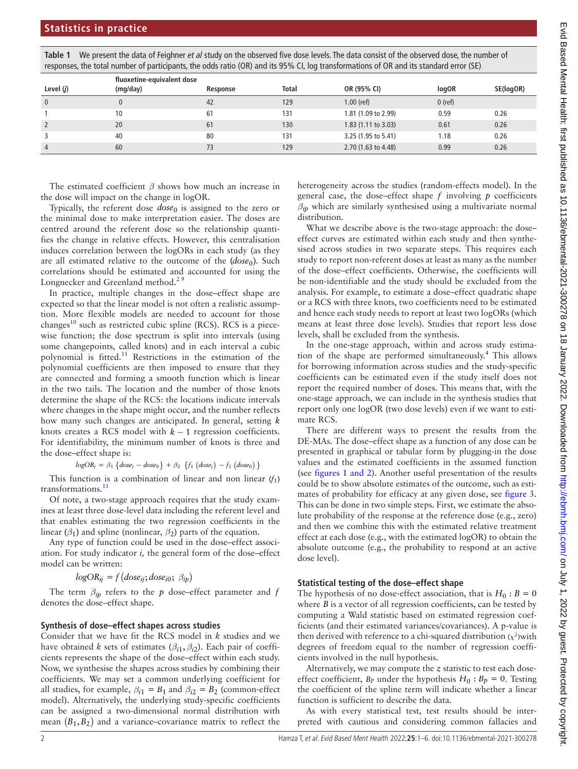<span id="page-1-0"></span>**Table 1** We present the data of Feighner *et al* study on the observed five dose levels. The data consist of the observed dose, the number of responses, the total number of participants, the odds ratio (OR) and its 95% CI, log transformations of OR and its standard error (SE)

|              | fluoxetine-equivalent dose |          |       |                               |              |           |
|--------------|----------------------------|----------|-------|-------------------------------|--------------|-----------|
| Level $(j)$  | (mq/day)                   | Response | Total | OR (95% CI)                   | <b>logOR</b> | SE(logOR) |
| $\mathbf{0}$ |                            | 42       | 129   | $1.00$ (ref)                  | $0$ (ref)    |           |
|              | 10                         | 61       | 131   | 1.81 (1.09 to 2.99)           | 0.59         | 0.26      |
|              | 20                         | 61       | 130   | $1.83(1.11 \text{ to } 3.03)$ | 0.61         | 0.26      |
|              | 40                         | 80       | 131   | 3.25 (1.95 to 5.41)           | 1.18         | 0.26      |
| 4            | 60                         |          | 129   | 2.70 (1.63 to 4.48)           | 0.99         | 0.26      |

The estimated coefficient *β* shows how much an increase in the dose will impact on the change in logOR.

Typically, the referent dose *dose*0 is assigned to the zero or the minimal dose to make interpretation easier. The doses are centred around the referent dose so the relationship quantifies the change in relative effects. However, this centralisation induces correlation between the logORs in each study (as they are all estimated relative to the outcome of the (*dose*<sub>0</sub>). Such correlations should be estimated and accounted for using the Longnecker and Greenland method.<sup>29</sup>

In practice, multiple changes in the dose–effect shape are expected so that the linear model is not often a realistic assumption. More flexible models are needed to account for those changes<sup>10</sup> such as restricted cubic spline (RCS). RCS is a piecewise function; the dose spectrum is split into intervals (using some changepoints, called knots) and in each interval a cubic polynomial is fitted.<sup>11</sup> Restrictions in the estimation of the polynomial coefficients are then imposed to ensure that they are connected and forming a smooth function which is linear in the two tails. The location and the number of those knots determine the shape of the RCS: the locations indicate intervals where changes in the shape might occur, and the number reflects how many such changes are anticipated. In general, setting *k* knots creates a RCS model with  $k - 1$  regression coefficients. For identifiability, the minimum number of knots is three and the dose–effect shape is:

 $logOR_j = \beta_1 \{ dose_j - dose_0 \} + \beta_2 \{ f_1 (dose_j) - f_1 (dose_0) \}$ 

This function is a combination of linear and non linear  $(f_1)$ transformations.<sup>[11](#page-4-8)</sup>

Of note, a two-stage approach requires that the study examines at least three dose-level data including the referent level and that enables estimating the two regression coefficients in the linear  $(\beta_1)$  and spline (nonlinear,  $\beta_2$ ) parts of the equation.

Any type of function could be used in the dose–effect association. For study indicator *i,* the general form of the dose–effect model can be written:

$$
logOR_{ij} = f(dose_{ij}; dose_{i0}; \beta_{ip})
$$

The term *βip* refers to the *p* dose–effect parameter and *f* denotes the dose–effect shape.

## **Synthesis of dose–effect shapes across studies**

Consider that we have fit the RCS model in *k* studies and we have obtained *k* sets of estimates ( $\beta_{i1}, \beta_{i2}$ ). Each pair of coefficients represents the shape of the dose–effect within each study. Now, we synthesise the shapes across studies by combining their coefficients. We may set a common underlying coefficient for all studies, for example,  $\beta_{i1} = B_1$  and  $\beta_{i2} = B_2$  (common-effect model). Alternatively, the underlying study-specific coefficients can be assigned a two-dimensional normal distribution with mean  $(B_1, B_2)$  and a variance–covariance matrix to reflect the heterogeneity across the studies (random-effects model). In the general case, the dose–effect shape *f* involving *p* coefficients  $\beta_{ip}$  which are similarly synthesised using a multivariate normal distribution.

What we describe above is the two-stage approach: the doseeffect curves are estimated within each study and then synthesised across studies in two separate steps. This requires each study to report non-referent doses at least as many as the number of the dose–effect coefficients. Otherwise, the coefficients will be non-identifiable and the study should be excluded from the analysis. For example, to estimate a dose–effect quadratic shape or a RCS with three knots, two coefficients need to be estimated and hence each study needs to report at least two logORs (which means at least three dose levels). Studies that report less dose levels, shall be excluded from the synthesis.

In the one-stage approach, within and across study estimation of the shape are performed simultaneously.[4](#page-4-2) This allows for borrowing information across studies and the study-specific coefficients can be estimated even if the study itself does not report the required number of doses. This means that, with the one-stage approach, we can include in the synthesis studies that report only one logOR (two dose levels) even if we want to estimate RCS.

There are different ways to present the results from the DE-MAs. The dose–effect shape as a function of any dose can be presented in graphical or tabular form by plugging-in the dose values and the estimated coefficients in the assumed function (see figures [1 and 2](#page-2-0)). Another useful presentation of the results could be to show absolute estimates of the outcome, such as estimates of probability for efficacy at any given dose, see [figure](#page-2-1) 3. This can be done in two simple steps. First, we estimate the absolute probability of the response at the reference dose (e.g., zero) and then we combine this with the estimated relative treatment effect at each dose (e.g., with the estimated logOR) to obtain the absolute outcome (e.g., the probability to respond at an active dose level).

# **Statistical testing of the dose–effect shape**

The hypothesis of no dose-effect association, that is  $H_0$ :  $B = 0$ where *B* is a vector of all regression coefficients, can be tested by computing a Wald statistic based on estimated regression coefficients (and their estimated variances/covariances). A p-value is then derived with reference to a chi-squared distribution  $(x^2)$ with degrees of freedom equal to the number of regression coefficients involved in the null hypothesis.

Alternatively, we may compute the *z* statistic to test each doseeffect coefficient,  $B_p$  under the hypothesis  $H_0$ :  $B_p = 0$ . Testing the coefficient of the spline term will indicate whether a linear function is sufficient to describe the data.

As with every statistical test, test results should be interpreted with cautious and considering common fallacies and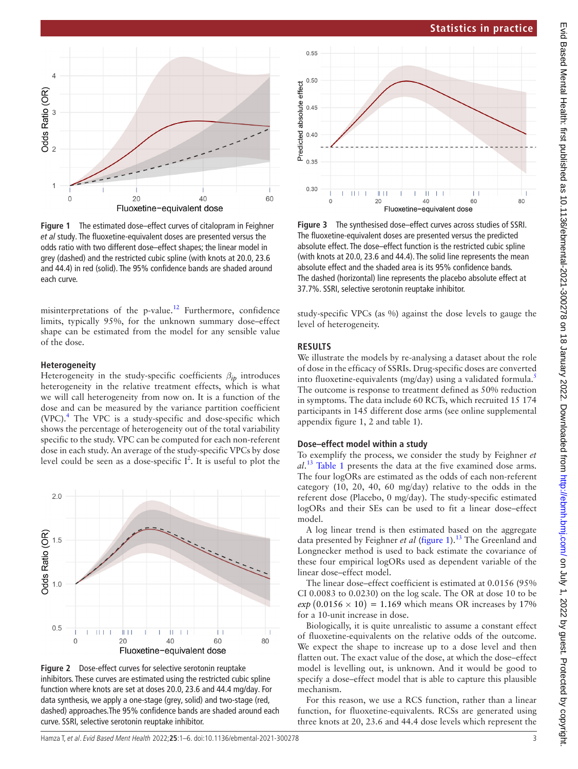

<span id="page-2-0"></span>*et al* study. The fluoxetine-equivalent doses are presented versus the odds ratio with two different dose–effect shapes; the linear model in grey (dashed) and the restricted cubic spline (with knots at 20.0, 23.6 and 44.4) in red (solid). The 95% confidence bands are shaded around each curve.

misinterpretations of the p-value.<sup>12</sup> Furthermore, confidence limits, typically 95%, for the unknown summary dose–effect shape can be estimated from the model for any sensible value of the dose.

## **Heterogeneity**

 $\overline{4}$ 

Odds Ratio (OR)

 $\tilde{z}$ 

 $\Omega$ 

Heterogeneity in the study-specific coefficients *βip* introduces heterogeneity in the relative treatment effects, which is what we will call heterogeneity from now on. It is a function of the dose and can be measured by the variance partition coefficient (VPC).[4](#page-4-2) The VPC is a study-specific and dose-specific which shows the percentage of heterogeneity out of the total variability specific to the study. VPC can be computed for each non-referent dose in each study. An average of the study-specific VPCs by dose level could be seen as a dose-specific  $I^2$ . It is useful to plot the



<span id="page-2-2"></span>**Figure 2** Dose-effect curves for selective serotonin reuptake inhibitors. These curves are estimated using the restricted cubic spline function where knots are set at doses 20.0, 23.6 and 44.4 mg/day. For data synthesis, we apply a one-stage (grey, solid) and two-stage (red, dashed) approaches.The 95% confidence bands are shaded around each curve. SSRI, selective serotonin reuptake inhibitor.



<span id="page-2-1"></span>**Figure 3** The synthesised dose–effect curves across studies of SSRI. The fluoxetine-equivalent doses are presented versus the predicted absolute effect. The dose–effect function is the restricted cubic spline (with knots at 20.0, 23.6 and 44.4). The solid line represents the mean absolute effect and the shaded area is its 95% confidence bands. The dashed (horizontal) line represents the placebo absolute effect at 37.7%. SSRI, selective serotonin reuptake inhibitor.

study-specific VPCs (as %) against the dose levels to gauge the level of heterogeneity.

## **RESULTS**

We illustrate the models by re-analysing a dataset about the role of dose in the efficacy of SSRIs. Drug-specific doses are converted into fluoxetine-equivalents (mg/day) using a validated formula.<sup>[5](#page-4-3)</sup> The outcome is response to treatment defined as 50% reduction in symptoms. The data include 60 RCTs, which recruited 15 174 participants in 145 different dose arms (see [online supplemental](https://dx.doi.org/10.1136/ebmental-2021-300278) [appendix figure 1, 2 and table 1](https://dx.doi.org/10.1136/ebmental-2021-300278)).

## **Dose–effect model within a study**

To exemplify the process, we consider the study by Feighner *et al*. [13](#page-4-10) [Table](#page-1-0) 1 presents the data at the five examined dose arms. The four logORs are estimated as the odds of each non-referent category (10, 20, 40, 60 mg/day) relative to the odds in the referent dose (Placebo, 0 mg/day). The study-specific estimated logORs and their SEs can be used to fit a linear dose–effect model.

A log linear trend is then estimated based on the aggregate data presented by Feighner *et al* [\(figure](#page-2-0) 1).<sup>[13](#page-4-10)</sup> The Greenland and Longnecker method is used to back estimate the covariance of these four empirical logORs used as dependent variable of the linear dose–effect model.

The linear dose–effect coefficient is estimated at 0.0156 (95% CI 0.0083 to 0.0230) on the log scale. The OR at dose 10 to be  $exp(0.0156 \times 10) = 1.169$  which means OR increases by 17% for a 10-unit increase in dose.

Biologically, it is quite unrealistic to assume a constant effect of fluoxetine-equivalents on the relative odds of the outcome. We expect the shape to increase up to a dose level and then flatten out. The exact value of the dose, at which the dose–effect model is levelling out, is unknown. And it would be good to specify a dose–effect model that is able to capture this plausible mechanism.

For this reason, we use a RCS function, rather than a linear function, for fluoxetine-equivalents. RCSs are generated using three knots at 20, 23.6 and 44.4 dose levels which represent the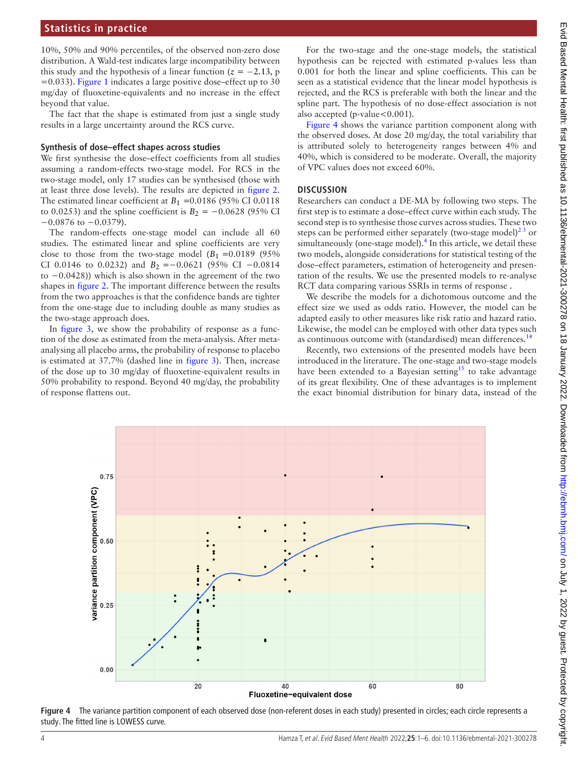10%, 50% and 90% percentiles, of the observed non-zero dose distribution. A Wald-test indicates large incompatibility between this study and the hypothesis of a linear function ( $z = -2.13$ , p =0.033). [Figure](#page-2-0) 1 indicates a large positive dose–effect up to 30 mg/day of fluoxetine-equivalents and no increase in the effect beyond that value.

The fact that the shape is estimated from just a single study results in a large uncertainty around the RCS curve.

#### **Synthesis of dose–effect shapes across studies**

We first synthesise the dose–effect coefficients from all studies assuming a random-effects two-stage model. For RCS in the two-stage model, only 17 studies can be synthesised (those with at least three dose levels). The results are depicted in [figure](#page-2-2) 2. The estimated linear coefficient at  $B_1 = 0.0186$  (95% CI 0.0118) to 0.0253) and the spline coefficient is  $B_2 = -0.0628$  (95% CI  $-0.0876$  to  $-0.0379$ ).

The random-effects one-stage model can include all 60 studies. The estimated linear and spline coefficients are very close to those from the two-stage model  $(B_1 = 0.0189)$  (95%) CI 0.0146 to 0.0232) and  $B_2 = -0.0621$  (95% CI  $-0.0814$ to −0.0428)) which is also shown in the agreement of the two shapes in [figure](#page-2-2) 2. The important difference between the results from the two approaches is that the confidence bands are tighter from the one-stage due to including double as many studies as the two-stage approach does.

In [figure](#page-2-1) 3, we show the probability of response as a function of the dose as estimated from the meta-analysis. After metaanalysing all placebo arms, the probability of response to placebo is estimated at 37.7% (dashed line in [figure](#page-2-1) 3). Then, increase of the dose up to 30 mg/day of fluoxetine-equivalent results in 50% probability to respond. Beyond 40 mg/day, the probability of response flattens out.

For the two-stage and the one-stage models, the statistical hypothesis can be rejected with estimated p-values less than 0.001 for both the linear and spline coefficients. This can be seen as a statistical evidence that the linear model hypothesis is rejected, and the RCS is preferable with both the linear and the spline part. The hypothesis of no dose-effect association is not also accepted (p-value < 0.001).

[Figure](#page-3-0) 4 shows the variance partition component along with the observed doses. At dose 20 mg/day, the total variability that is attributed solely to heterogeneity ranges between 4% and 40%, which is considered to be moderate. Overall, the majority of VPC values does not exceed 60%.

#### **DISCUSSION**

Researchers can conduct a DE-MA by following two steps. The first step is to estimate a dose–effect curve within each study. The second step is to synthesise those curves across studies. These two steps can be performed either separately (two-stage model) $^{23}$  or simultaneously (one-stage model). $<sup>4</sup>$  In this article, we detail these</sup> two models, alongside considerations for statistical testing of the dose–effect parameters, estimation of heterogeneity and presentation of the results. We use the presented models to re-analyse RCT data comparing various SSRIs in terms of response .

We describe the models for a dichotomous outcome and the effect size we used as odds ratio. However, the model can be adapted easily to other measures like risk ratio and hazard ratio. Likewise, the model can be employed with other data types such as continuous outcome with (standardised) mean differences.<sup>14</sup>

Recently, two extensions of the presented models have been introduced in the literature. The one-stage and two-stage models have been extended to a Bayesian setting<sup>15</sup> to take advantage of its great flexibility. One of these advantages is to implement the exact binomial distribution for binary data, instead of the



<span id="page-3-0"></span>Figure 4 The variance partition component of each observed dose (non-referent doses in each study) presented in circles; each circle represents a study. The fitted line is LOWESS curve.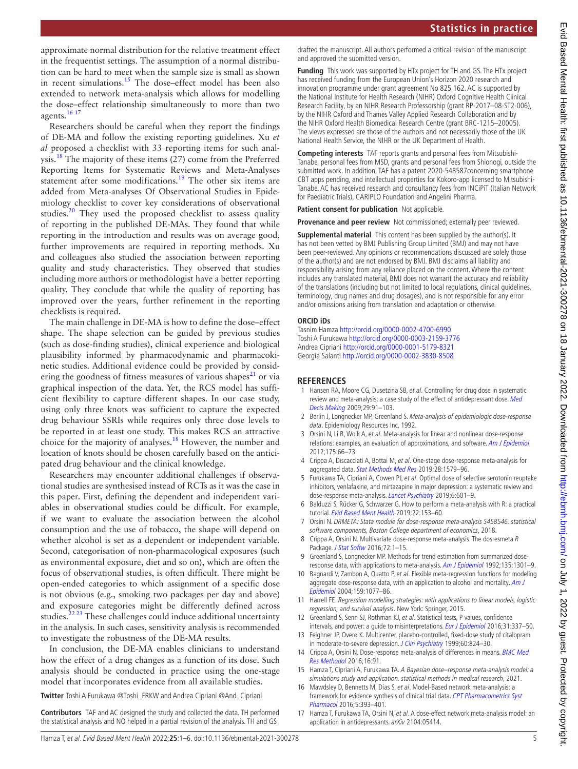approximate normal distribution for the relative treatment effect in the frequentist settings. The assumption of a normal distribution can be hard to meet when the sample size is small as shown in recent simulations.<sup>15</sup> The dose-effect model has been also extended to network meta-analysis which allows for modelling the dose–effect relationship simultaneously to more than two agents.[16 17](#page-4-13)

Researchers should be careful when they report the findings of DE-MA and follow the existing reporting guidelines. Xu *et al* proposed a checklist with 33 reporting items for such analysis.<sup>18</sup> The majority of these items  $(27)$  come from the Preferred Reporting Items for Systematic Reviews and Meta-Analyses statement after some modifications.<sup>[19](#page-5-1)</sup> The other six items are added from Meta-analyses Of Observational Studies in Epidemiology checklist to cover key considerations of observational studies.<sup>[20](#page-5-2)</sup> They used the proposed checklist to assess quality of reporting in the published DE-MAs. They found that while reporting in the introduction and results was on average good, further improvements are required in reporting methods. Xu and colleagues also studied the association between reporting quality and study characteristics. They observed that studies including more authors or methodologist have a better reporting quality. They conclude that while the quality of reporting has improved over the years, further refinement in the reporting checklists is required.

The main challenge in DE-MA is how to define the dose–effect shape. The shape selection can be guided by previous studies (such as dose-finding studies), clinical experience and biological plausibility informed by pharmacodynamic and pharmacokinetic studies. Additional evidence could be provided by considering the goodness of fitness measures of various shapes<sup>21</sup> or via graphical inspection of the data. Yet, the RCS model has sufficient flexibility to capture different shapes. In our case study, using only three knots was sufficient to capture the expected drug behaviour SSRIs while requires only three dose levels to be reported in at least one study. This makes RCS an attractive choice for the majority of analyses.[18](#page-5-0) However, the number and location of knots should be chosen carefully based on the anticipated drug behaviour and the clinical knowledge.

Researchers may encounter additional challenges if observational studies are synthesised instead of RCTs as it was the case in this paper. First, defining the dependent and independent variables in observational studies could be difficult. For example, if we want to evaluate the association between the alcohol consumption and the use of tobacco, the shape will depend on whether alcohol is set as a dependent or independent variable. Second, categorisation of non-pharmacological exposures (such as environmental exposure, diet and so on), which are often the focus of observational studies, is often difficult. There might be open-ended categories to which assignment of a specific dose is not obvious (e.g., smoking two packages per day and above) and exposure categories might be differently defined across studies.<sup>[22 23](#page-5-4)</sup> These challenges could induce additional uncertainty in the analysis. In such cases, sensitivity analysis is recommended to investigate the robustness of the DE-MA results.

In conclusion, the DE-MA enables clinicians to understand how the effect of a drug changes as a function of its dose. Such analysis should be conducted in practice using the one-stage model that incorporates evidence from all available studies.

**Twitter** Toshi A Furukawa [@Toshi\\_FRKW](https://twitter.com/Toshi_FRKW) and Andrea Cipriani [@And\\_Cipriani](https://twitter.com/And_Cipriani)

**Contributors** TAF and AC designed the study and collected the data. TH performed the statistical analysis and NO helped in a partial revision of the analysis. TH and GS

drafted the manuscript. All authors performed a critical revision of the manuscript and approved the submitted version.

**Funding** This work was supported by HTx project for TH and GS. The HTx project has received funding from the European Union's Horizon 2020 research and innovation programme under grant agreement No 825 162. AC is supported by the National Institute for Health Research (NIHR) Oxford Cognitive Health Clinical Research Facility, by an NIHR Research Professorship (grant RP-2017–08-ST2-006), by the NIHR Oxford and Thames Valley Applied Research Collaboration and by the NIHR Oxford Health Biomedical Research Centre (grant BRC-1215–20005). The views expressed are those of the authors and not necessarily those of the UK National Health Service, the NIHR or the UK Department of Health.

**Competing interests** TAF reports grants and personal fees from Mitsubishi-Tanabe, personal fees from MSD, grants and personal fees from Shionogi, outside the submitted work. In addition, TAF has a patent 2020-548587concerning smartphone CBT apps pending, and intellectual properties for Kokoro-app licensed to Mitsubishi-Tanabe. AC has received research and consultancy fees from INCiPiT (Italian Network for Paediatric Trials), CARIPLO Foundation and Angelini Pharma.

**Patient consent for publication** Not applicable.

**Provenance and peer review** Not commissioned; externally peer reviewed.

**Supplemental material** This content has been supplied by the author(s). It has not been vetted by BMJ Publishing Group Limited (BMJ) and may not have been peer-reviewed. Any opinions or recommendations discussed are solely those of the author(s) and are not endorsed by BMJ. BMJ disclaims all liability and responsibility arising from any reliance placed on the content. Where the content includes any translated material, BMJ does not warrant the accuracy and reliability of the translations (including but not limited to local regulations, clinical guidelines, terminology, drug names and drug dosages), and is not responsible for any error and/or omissions arising from translation and adaptation or otherwise.

#### **ORCID iDs**

Tasnim Hamza <http://orcid.org/0000-0002-4700-6990> Toshi A Furukawa <http://orcid.org/0000-0003-2159-3776> Andrea Cipriani <http://orcid.org/0000-0001-5179-8321> Georgia Salanti<http://orcid.org/0000-0002-3830-8508>

## **REFERENCES**

- <span id="page-4-0"></span>1 Hansen RA, Moore CG, Dusetzina SB, et al. Controlling for drug dose in systematic review and meta-analysis: a case study of the effect of antidepressant dose. Med [Decis Making](http://dx.doi.org/10.1177/0272989X08323298) 2009;29:91–103.
- <span id="page-4-1"></span>2 Berlin J, Longnecker MP, Greenland S. Meta-analysis of epidemiologic dose-response data. Epidemiology Resources Inc, 1992.
- 3 Orsini N, Li R, Wolk A, et al. Meta-analysis for linear and nonlinear dose-response relations: examples, an evaluation of approximations, and software. [Am J Epidemiol](http://dx.doi.org/10.1093/aje/kwr265) 2012;175:66–73.
- <span id="page-4-2"></span>4 Crippa A, Discacciati A, Bottai M, et al. One-stage dose-response meta-analysis for aggregated data. [Stat Methods Med Res](http://dx.doi.org/10.1177/0962280218773122) 2019;28:1579–96.
- <span id="page-4-3"></span>5 Furukawa TA, Cipriani A, Cowen PJ, et al. Optimal dose of selective serotonin reuptake inhibitors, venlafaxine, and mirtazapine in major depression: a systematic review and dose-response meta-analysis. [Lancet Psychiatry](http://dx.doi.org/10.1016/S2215-0366(19)30217-2) 2019;6:601-9.
- <span id="page-4-4"></span>6 Balduzzi S, Rücker G, Schwarzer G. How to perform a meta-analysis with R: a practical tutorial. [Evid Based Ment Health](http://dx.doi.org/10.1136/ebmental-2019-300117) 2019;22:153–60.
- <span id="page-4-5"></span>7 Orsini N. DRMETA: Stata module for dose-response meta-analysis S458546. statistical software components, Boston College department of economics, 2018.
- <span id="page-4-6"></span>8 Crippa A, Orsini N. Multivariate dose-response meta-analysis: The dosresmeta R Package. [J Stat Softw](http://dx.doi.org/10.18637/jss.v072.c01) 2016;72:1-15.
- 9 Greenland S, Longnecker MP. Methods for trend estimation from summarized dose-response data, with applications to meta-analysis. [Am J Epidemiol](http://dx.doi.org/10.1093/oxfordjournals.aje.a116237) 1992;135:1301-9.
- <span id="page-4-7"></span>10 Bagnardi V, Zambon A, Quatto P, et al. Flexible meta-regression functions for modeling aggregate dose-response data, with an application to alcohol and mortality. Am J [Epidemiol](http://dx.doi.org/10.1093/aje/kwh142) 2004;159:1077–86.
- <span id="page-4-8"></span>11 Harrell FE. Regression modelling strategies: with applications to linear models, logistic regression, and survival analysis. New York: Springer, 2015.
- <span id="page-4-9"></span>12 Greenland S, Senn SJ, Rothman KJ, et al. Statistical tests, P values, confidence intervals, and power: a guide to misinterpretations. [Eur J Epidemiol](http://dx.doi.org/10.1007/s10654-016-0149-3) 2016;31:337-50.
- <span id="page-4-10"></span>13 Feighner JP, Overø K. Multicenter, placebo-controlled, fixed-dose study of citalopram in moderate-to-severe depression. [J Clin Psychiatry](http://dx.doi.org/10.4088/JCP.v60n1204) 1999;60:824-30.
- <span id="page-4-11"></span>14 Crippa A, Orsini N. Dose-response meta-analysis of differences in means. BMC Med [Res Methodol](http://dx.doi.org/10.1186/s12874-016-0189-0) 2016;16:91.
- <span id="page-4-12"></span>15 Hamza T, Cipriani A, Furukawa TA. A Bayesian dose-response meta-analysis model: a simulations study and application. statistical methods in medical research, 2021.
- <span id="page-4-13"></span>16 Mawdsley D, Bennetts M, Dias S, et al. Model-Based network meta-analysis: a framework for evidence synthesis of clinical trial data. CPT Pharmacometrics Syst [Pharmacol](http://dx.doi.org/10.1002/psp4.12091) 2016;5:393–401.
- 17 Hamza T, Furukawa TA, Orsini N, et al. A dose-effect network meta-analysis model: an application in antidepressants. arXiv 2104:05414.